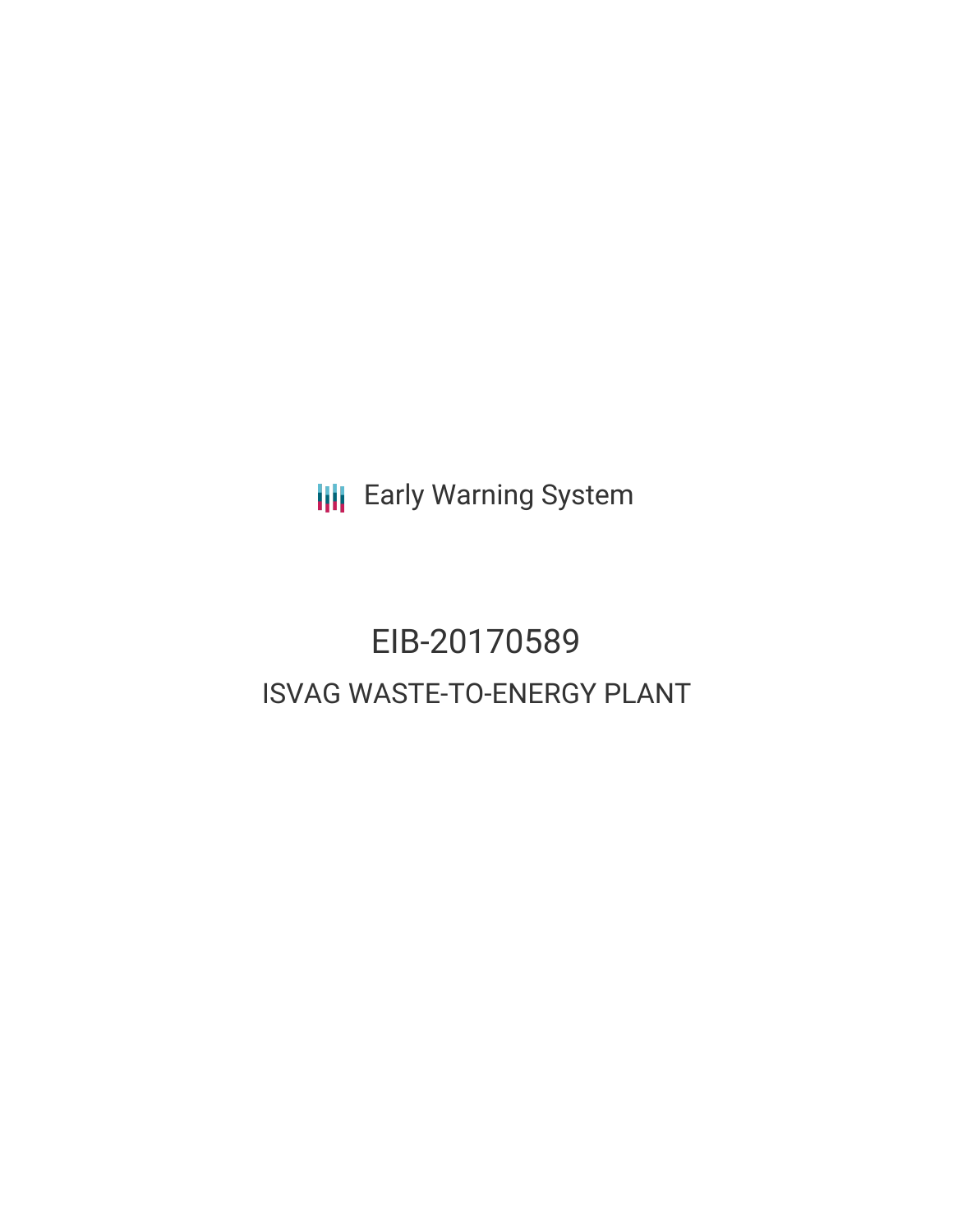**III** Early Warning System

# EIB-20170589 ISVAG WASTE-TO-ENERGY PLANT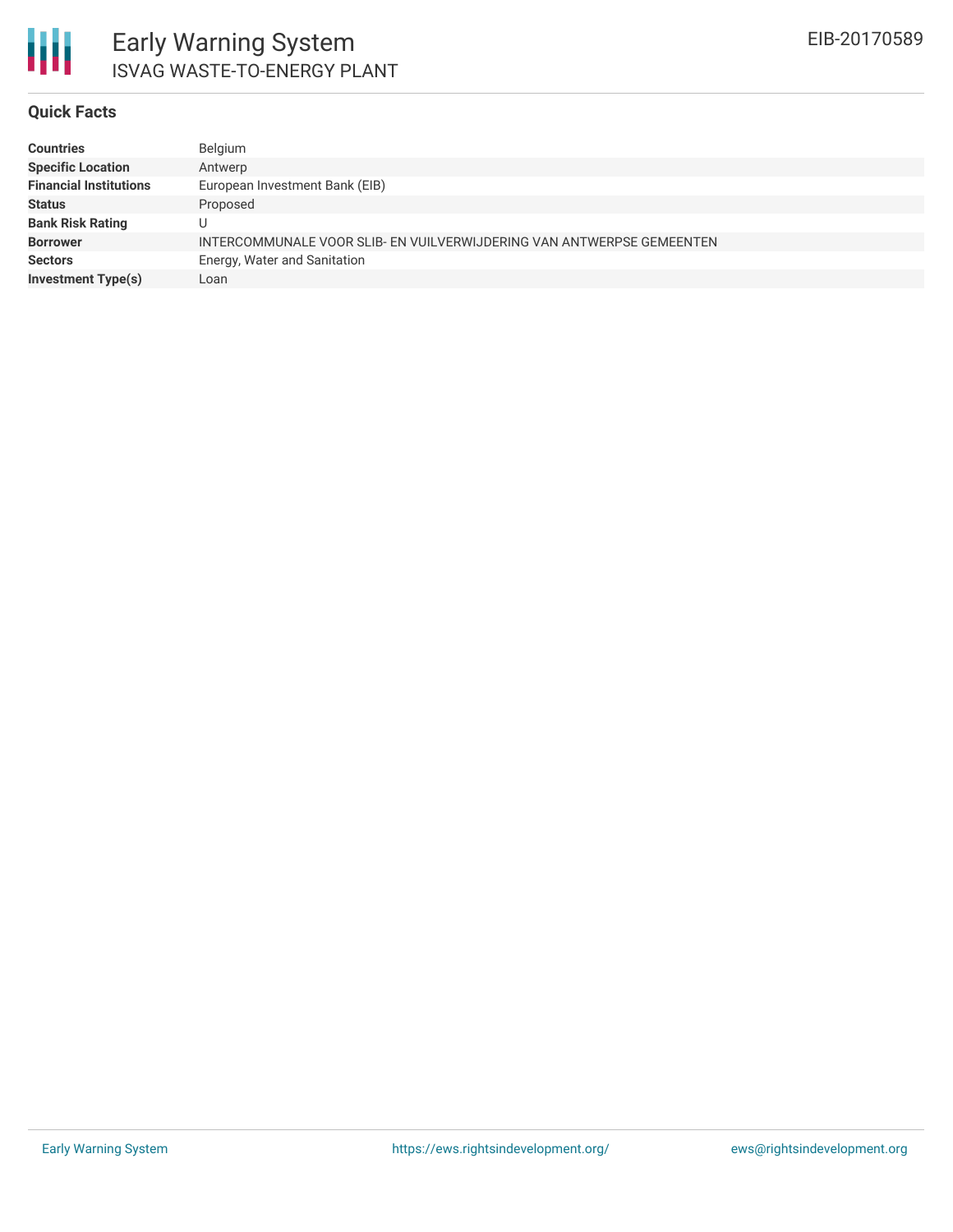

#### **Quick Facts**

| <b>Countries</b>              | Belgium                                                               |
|-------------------------------|-----------------------------------------------------------------------|
| <b>Specific Location</b>      | Antwerp                                                               |
| <b>Financial Institutions</b> | European Investment Bank (EIB)                                        |
| <b>Status</b>                 | Proposed                                                              |
| <b>Bank Risk Rating</b>       |                                                                       |
| <b>Borrower</b>               | INTERCOMMUNALE VOOR SLIB- EN VUILVERWIJDERING VAN ANTWERPSE GEMEENTEN |
| <b>Sectors</b>                | Energy, Water and Sanitation                                          |
| <b>Investment Type(s)</b>     | Loan                                                                  |
|                               |                                                                       |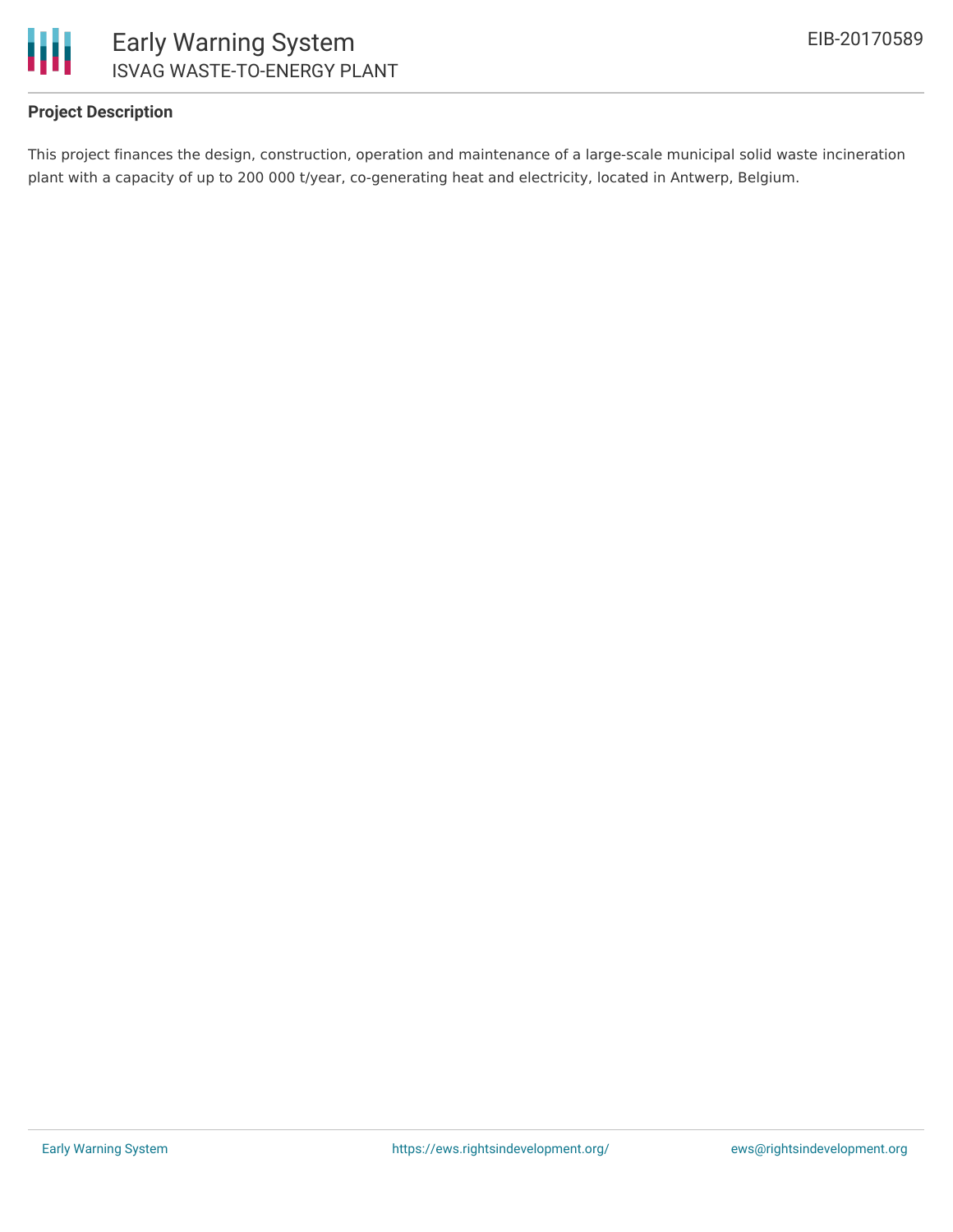

## **Project Description**

This project finances the design, construction, operation and maintenance of a large-scale municipal solid waste incineration plant with a capacity of up to 200 000 t/year, co-generating heat and electricity, located in Antwerp, Belgium.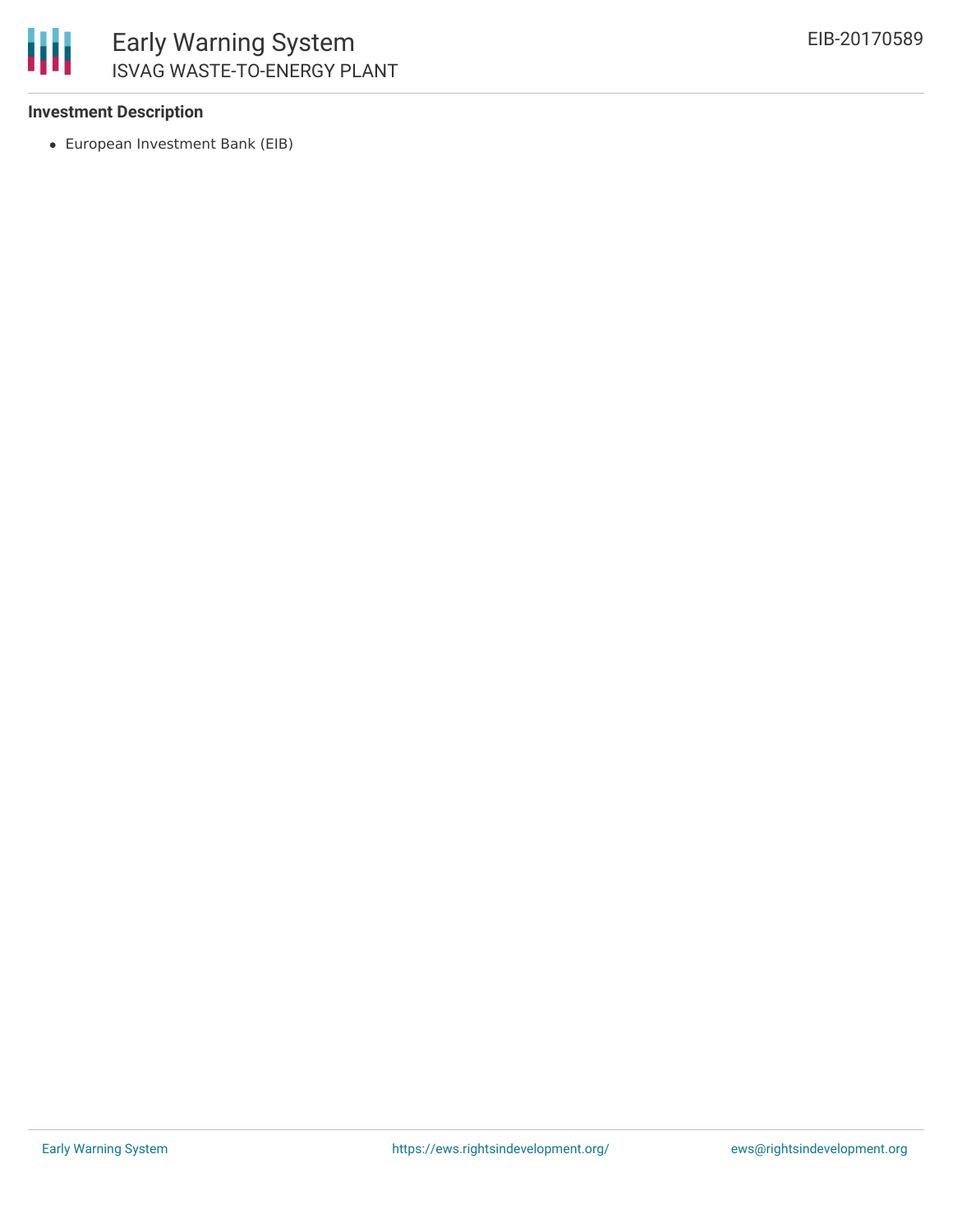

## **Investment Description**

European Investment Bank (EIB)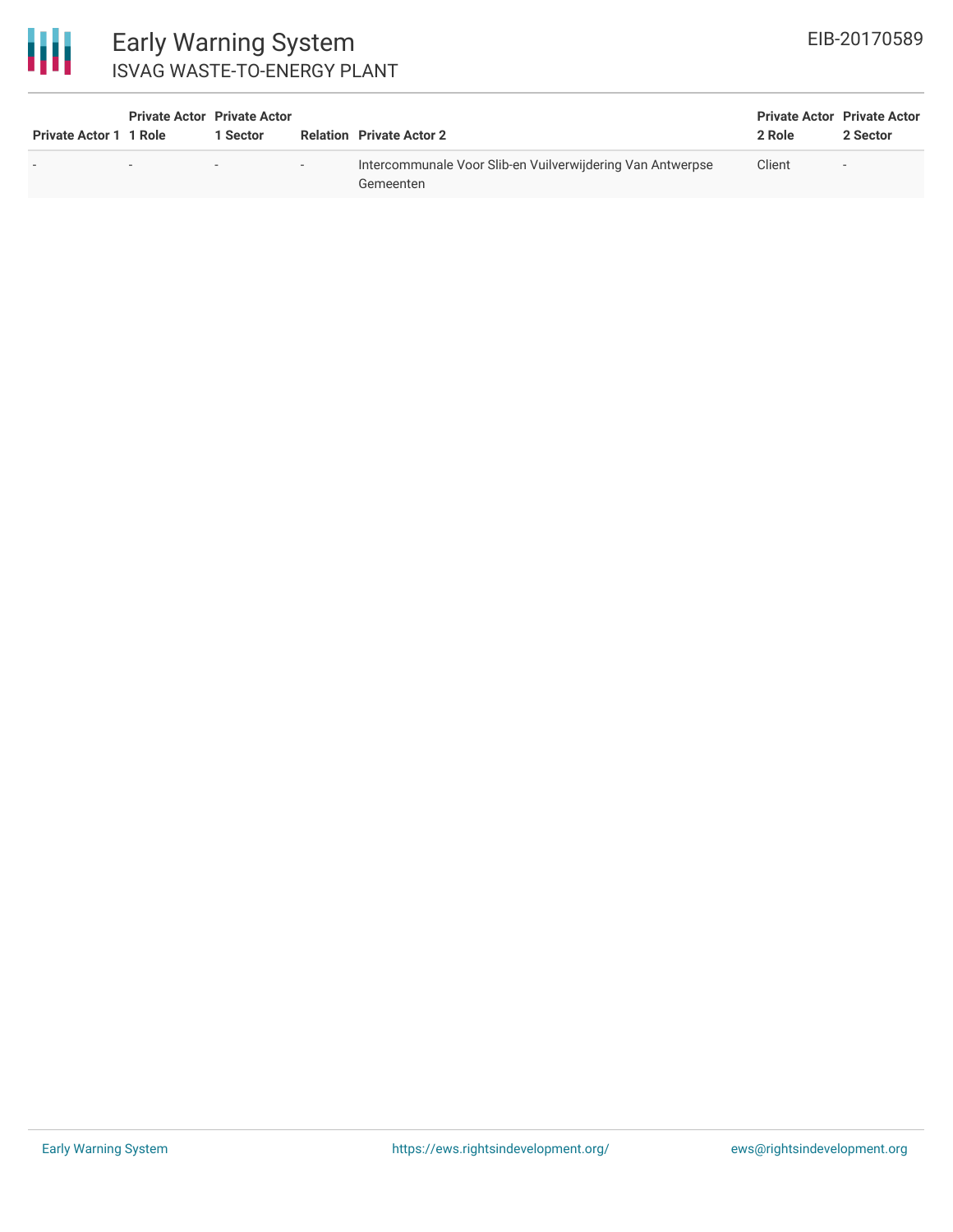

# Early Warning System ISVAG WASTE-TO-ENERGY PLANT

| <b>Private Actor 1 1 Role</b> | <b>Private Actor Private Actor</b> | 1 Sector                 |        | <b>Relation Private Actor 2</b>                                         | <b>Private Actor Private Actor</b><br>2 Role | 2 Sector |
|-------------------------------|------------------------------------|--------------------------|--------|-------------------------------------------------------------------------|----------------------------------------------|----------|
|                               | $\overline{\phantom{0}}$           | $\overline{\phantom{0}}$ | $\sim$ | Intercommunale Voor Slib-en Vuilverwijdering Van Antwerpse<br>Gemeenten | Client                                       | $\sim$   |